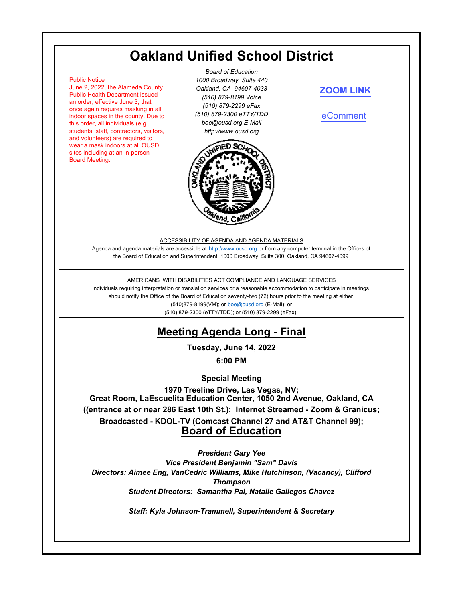# **Oakland Unified School District**

#### Public Notice

June 2, 2022, the Alameda County Public Health Department issued an order, effective June 3, that once again requires masking in all indoor spaces in the county. Due to this order, all individuals (e.g., students, staff, contractors, visitors, and volunteers) are required to wear a mask indoors at all OUSD sites including at an in-person Board Meeting.

*Board of Education 1000 Broadway, Suite 440 Oakland, CA 94607-4033 (510) 879-8199 Voice (510) 879-2299 eFax (510) 879-2300 eTTY/TDD boe@ousd.org E-Mail http://www.ousd.org*



#### **[ZOOM LINK](https://ousd.zoom.us/j/83433306461)**

[eComment](https://ousd.granicusideas.com/meetings/2351-board-of-education-on-2022-06-14-6-00-pm-special-meeting-1970-treeline-drive-las-vegas-nv)

#### ACCESSIBILITY OF AGENDA AND AGENDA MATERIALS

Agenda and agenda materials are accessible at http://www.ousd.org or from any computer terminal in the Offices of the Board of Education and Superintendent, 1000 Broadway, Suite 300, Oakland, CA 94607-4099

#### AMERICANS WITH DISABILITIES ACT COMPLIANCE AND LANGUAGE SERVICES

Individuals requiring interpretation or translation services or a reasonable accommodation to participate in meetings should notify the Office of the Board of Education seventy-two (72) hours prior to the meeting at either (510)879-8199(VM); or boe@ousd.org (E-Mail); or (510) 879-2300 (eTTY/TDD); or (510) 879-2299 (eFax).

# **Meeting Agenda Long - Final**

**Tuesday, June 14, 2022**

**6:00 PM**

**Special Meeting**

**Great Room, LaEscuelita Education Center, 1050 2nd Avenue, Oakland, CA ((entrance at or near 286 East 10th St.); Internet Streamed - Zoom & Granicus; Broadcasted - KDOL-TV (Comcast Channel 27 and AT&T Channel 99); Board of Education 1970 Treeline Drive, Las Vegas, NV;**

*President Gary Yee*

*Vice President Benjamin "Sam" Davis Directors: Aimee Eng, VanCedric Williams, Mike Hutchinson, (Vacancy), Clifford Thompson Student Directors: Samantha Pal, Natalie Gallegos Chavez*

*Staff: Kyla Johnson-Trammell, Superintendent & Secretary*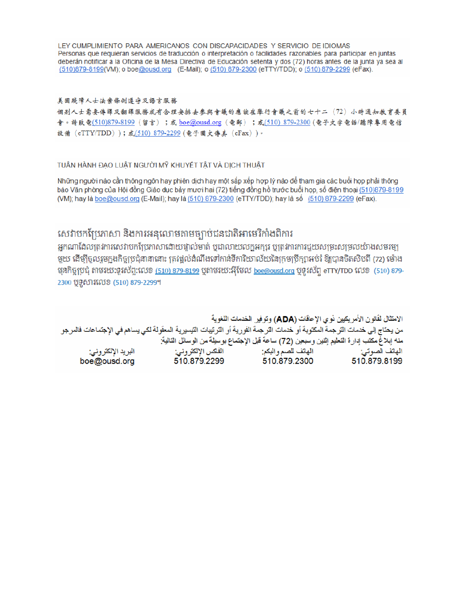LEY CUMPLIMIENTO PARA AMERICANOS CON DISCAPACIDADES Y SERVICIO DE IDIOMAS Personas que requieran servicios de traducción o interpretación o facilidades razonables para participar en juntas deberán notificar a la Oficina de la Mesa Directiva de Educación setenta y dos (72) horas antes de la junta ya sea al (510)879-8199(VM); o boe@ousd.org (E-Mail); o (510) 879-2300 (eTTY/TDD); o (510) 879-2299 (eFax).

#### 美国残障人士法案條例遵守及語言服務

個别人士需要傳譯及翻譯服務或有合理安排去參與會議的應該在舉行會議之前的七十二(72)小時通知教育委員 會。請致電(510)879-8199(留言);或 boe@ousd.org (電郵) ;或(510) 879-2300 (電子文字電話/聽障專用電信 設備 (eTTY/TDD));或(510) 879-2299 (電子圖文傳真 (eFax))。

#### TUẦN HÀNH ĐẠO LUẬT NGƯỜI MỸ KHUYẾT TẤT VÀ DỊCH THUẬT

Những người nào cần thông ngôn hay phiên dịch hay một sắp xếp hợp lý nào để tham gia các buổi họp phải thông báo Văn phòng của Hội đồng Giáo dục bảy mươi hai (72) tiếng đồng hồ trước buổi họp, số điện thoại (510)879-8199 (VM); hay là boe@ousd.org (E-Mail); hay là (510) 879-2300 (eTTY/TDD); hay là số (510) 879-2299 (eFax).

## សេវាបកប្រែភាសា និងការអនុលោមតាមច្បាប់ជនជាតិអាមេរិកាំងពិការ

អកណាដែលត្រូវការសេវាបកប្រែភាសាដោយផ្ទាល់មាត់ ឬជាលាយលក្ខអក្សរ ឬត្រូវការការជួយសម្រះសម្រលយ៉ាងសមរម្យ មួយ ដើម្បីចូលរួមក្នុងកិច្ចប្រជុំនានានោះ ត្រវង្គល់ដំណឹងទៅកាន់ទីការិយាល័យនៃក្រមប្រឹក្សាអប់រំ ឱ្យបានចិតសិបពី (72) ម៉ោង មុនកិច្ចប្រជុំ តាមរយៈទូរស័ព្ទ:លេខ <u>(510) 879-8199</u> បុតាមរយៈអ៊ីមែល <u>boe@ousd.org</u> បុទូរស័ព្ទ eTTY/TDD លេខ (510) 879-2300 ប៊ូទូសារលេខ (510) 879-2299។

الامتثال لقانون الأمريكيين نو ي الإحاقات (ADA) وتوفير الخدمات اللغوية من يحتاج إلى خدمات الترجمة المكتوبة أو خدمات الترجمة الفورية أو الترتيبات التيسيرية المعفّولة لكي يساهم في الإجتماعات فالمرجو منه إبلاغ مكتب إدارة التعليم إثنين وسبعين (72) ساعة قبل الإجتماع بوسيلة من الوسائل التالية: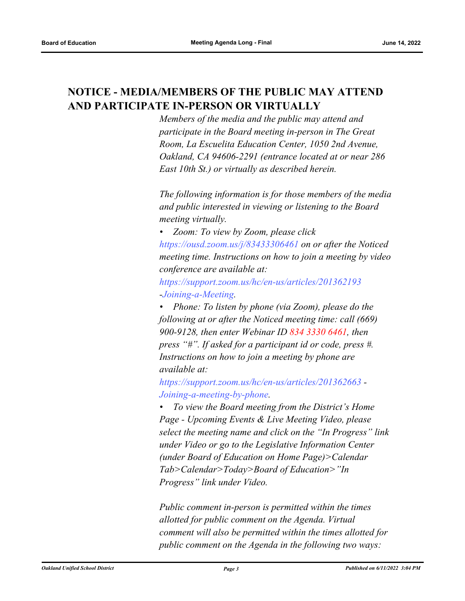## **NOTICE - MEDIA/MEMBERS OF THE PUBLIC MAY ATTEND AND PARTICIPATE IN-PERSON OR VIRTUALLY**

*Members of the media and the public may attend and participate in the Board meeting in-person in The Great Room, La Escuelita Education Center, 1050 2nd Avenue, Oakland, CA 94606-2291 (entrance located at or near 286 East 10th St.) or virtually as described herein.*

*The following information is for those members of the media and public interested in viewing or listening to the Board meeting virtually.*

*• Zoom: To view by Zoom, please click https://ousd.zoom.us/j/83433306461 on or after the Noticed meeting time. Instructions on how to join a meeting by video conference are available at:*

*https://support.zoom.us/hc/en-us/articles/201362193 -Joining-a-Meeting.*

*• Phone: To listen by phone (via Zoom), please do the following at or after the Noticed meeting time: call (669) 900-9128, then enter Webinar ID 834 3330 6461, then press "#". If asked for a participant id or code, press #. Instructions on how to join a meeting by phone are available at:*

*https://support.zoom.us/hc/en-us/articles/201362663 - Joining-a-meeting-by-phone.*

*• To view the Board meeting from the District's Home Page - Upcoming Events & Live Meeting Video, please select the meeting name and click on the "In Progress" link under Video or go to the Legislative Information Center (under Board of Education on Home Page)>Calendar Tab>Calendar>Today>Board of Education>"In Progress" link under Video.*

*Public comment in-person is permitted within the times allotted for public comment on the Agenda. Virtual comment will also be permitted within the times allotted for public comment on the Agenda in the following two ways:*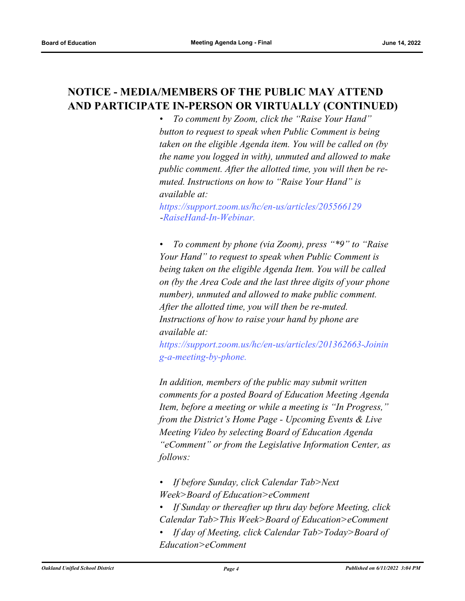## **NOTICE - MEDIA/MEMBERS OF THE PUBLIC MAY ATTEND AND PARTICIPATE IN-PERSON OR VIRTUALLY (CONTINUED)**

*• To comment by Zoom, click the "Raise Your Hand" button to request to speak when Public Comment is being taken on the eligible Agenda item. You will be called on (by the name you logged in with), unmuted and allowed to make public comment. After the allotted time, you will then be remuted. Instructions on how to "Raise Your Hand" is available at:*

*https://support.zoom.us/hc/en-us/articles/205566129 -RaiseHand-In-Webinar.*

*• To comment by phone (via Zoom), press "\*9" to "Raise Your Hand" to request to speak when Public Comment is being taken on the eligible Agenda Item. You will be called on (by the Area Code and the last three digits of your phone number), unmuted and allowed to make public comment. After the allotted time, you will then be re-muted. Instructions of how to raise your hand by phone are available at:*

*https://support.zoom.us/hc/en-us/articles/201362663-Joinin g-a-meeting-by-phone.*

*In addition, members of the public may submit written comments for a posted Board of Education Meeting Agenda Item, before a meeting or while a meeting is "In Progress," from the District's Home Page - Upcoming Events & Live Meeting Video by selecting Board of Education Agenda "eComment" or from the Legislative Information Center, as follows:*

- *If before Sunday, click Calendar Tab>Next Week>Board of Education>eComment*
- *If Sunday or thereafter up thru day before Meeting, click Calendar Tab>This Week>Board of Education>eComment*
- *If day of Meeting, click Calendar Tab>Today>Board of Education>eComment*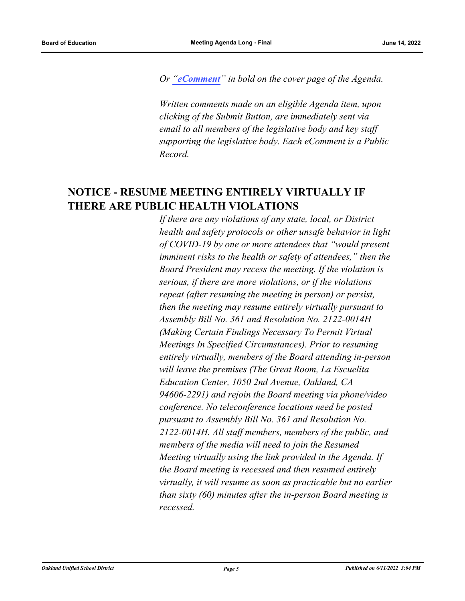*Or "[eComment](https://ousd.granicusideas.com/meetings/2351-board-of-education-on-2022-06-14-6-00-pm-special-meeting-1970-treeline-drive-las-vegas-nv)" in bold on the cover page of the Agenda.* 

*Written comments made on an eligible Agenda item, upon clicking of the Submit Button, are immediately sent via email to all members of the legislative body and key staff supporting the legislative body. Each eComment is a Public Record.*

## **NOTICE - RESUME MEETING ENTIRELY VIRTUALLY IF THERE ARE PUBLIC HEALTH VIOLATIONS**

*If there are any violations of any state, local, or District health and safety protocols or other unsafe behavior in light of COVID-19 by one or more attendees that "would present imminent risks to the health or safety of attendees," then the Board President may recess the meeting. If the violation is serious, if there are more violations, or if the violations repeat (after resuming the meeting in person) or persist, then the meeting may resume entirely virtually pursuant to Assembly Bill No. 361 and Resolution No. 2122-0014H (Making Certain Findings Necessary To Permit Virtual Meetings In Specified Circumstances). Prior to resuming entirely virtually, members of the Board attending in-person will leave the premises (The Great Room, La Escuelita Education Center, 1050 2nd Avenue, Oakland, CA 94606-2291) and rejoin the Board meeting via phone/video conference. No teleconference locations need be posted pursuant to Assembly Bill No. 361 and Resolution No. 2122-0014H. All staff members, members of the public, and members of the media will need to join the Resumed Meeting virtually using the link provided in the Agenda. If the Board meeting is recessed and then resumed entirely virtually, it will resume as soon as practicable but no earlier than sixty (60) minutes after the in-person Board meeting is recessed.*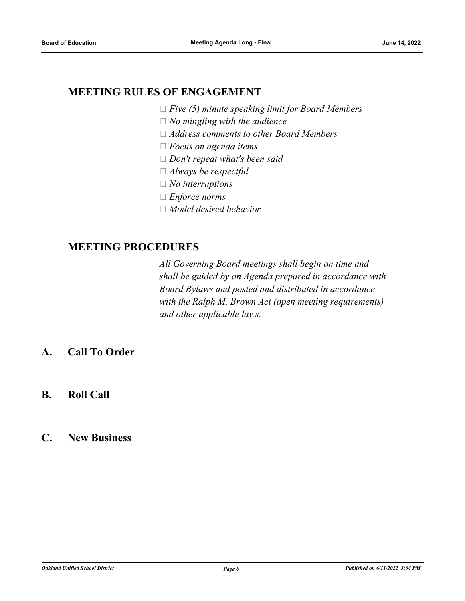## **MEETING RULES OF ENGAGEMENT**

- *Five (5) minute speaking limit for Board Members*
- *No mingling with the audience*
- *Address comments to other Board Members*
- *Focus on agenda items*
- *Don't repeat what's been said*
- *Always be respectful*
- *No interruptions*
- *Enforce norms*
- *Model desired behavior*

#### **MEETING PROCEDURES**

*All Governing Board meetings shall begin on time and shall be guided by an Agenda prepared in accordance with Board Bylaws and posted and distributed in accordance with the Ralph M. Brown Act (open meeting requirements) and other applicable laws.*

- **A. Call To Order**
- **B. Roll Call**
- **C. New Business**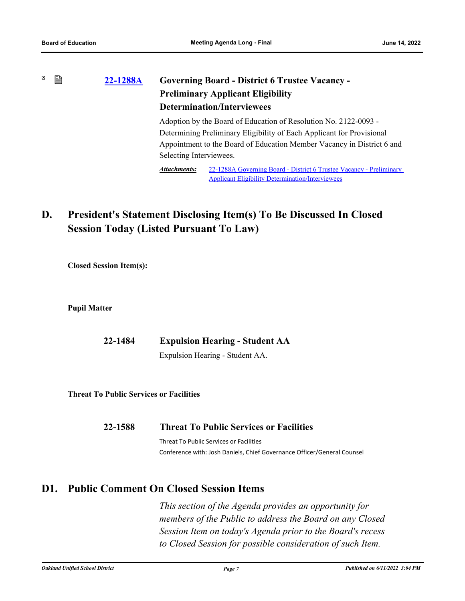#### × 窅 **[22-1288A](http://ousd.legistar.com/gateway.aspx?m=l&id=/matter.aspx?key=55876) Governing Board - District 6 Trustee Vacancy - Preliminary Applicant Eligibility Determination/Interviewees**

Adoption by the Board of Education of Resolution No. 2122-0093 - Determining Preliminary Eligibility of Each Applicant for Provisional Appointment to the Board of Education Member Vacancy in District 6 and Selecting Interviewees.

[22-1288A Governing Board - District 6 Trustee Vacancy - Preliminary](http://ousd.legistar.com/gateway.aspx?M=F&ID=104784.pdf)  Applicant Eligibility Determination/Interviewees *Attachments:*

## **D. President's Statement Disclosing Item(s) To Be Discussed In Closed Session Today (Listed Pursuant To Law)**

**Closed Session Item(s):**

**Pupil Matter**

| 22-1484 | <b>Expulsion Hearing - Student AA</b> |
|---------|---------------------------------------|
|         |                                       |

Expulsion Hearing - Student AA.

**Threat To Public Services or Facilities**

| 22-1588 | <b>Threat To Public Services or Facilities</b> |
|---------|------------------------------------------------|
|         | Threat To Public Services or Facilities        |

Conference with: Josh Daniels, Chief Governance Officer/General Counsel

## **D1. Public Comment On Closed Session Items**

*This section of the Agenda provides an opportunity for members of the Public to address the Board on any Closed Session Item on today's Agenda prior to the Board's recess to Closed Session for possible consideration of such Item.*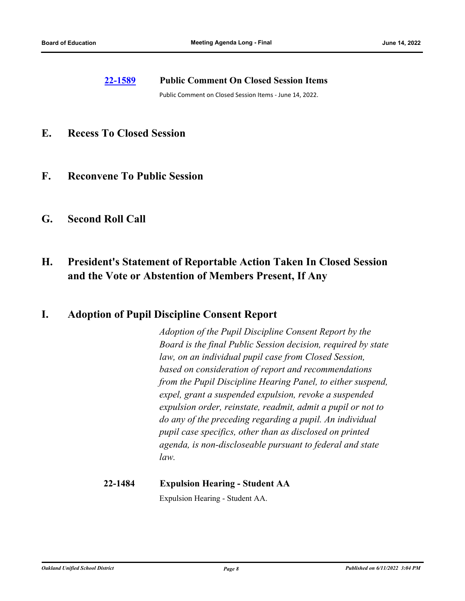#### **[22-1589](http://ousd.legistar.com/gateway.aspx?m=l&id=/matter.aspx?key=55883) Public Comment On Closed Session Items**

Public Comment on Closed Session Items - June 14, 2022.

- **E. Recess To Closed Session**
- **F. Reconvene To Public Session**
- **G. Second Roll Call**

## **H. President's Statement of Reportable Action Taken In Closed Session and the Vote or Abstention of Members Present, If Any**

#### **I. Adoption of Pupil Discipline Consent Report**

*Adoption of the Pupil Discipline Consent Report by the Board is the final Public Session decision, required by state law, on an individual pupil case from Closed Session, based on consideration of report and recommendations from the Pupil Discipline Hearing Panel, to either suspend, expel, grant a suspended expulsion, revoke a suspended expulsion order, reinstate, readmit, admit a pupil or not to do any of the preceding regarding a pupil. An individual pupil case specifics, other than as disclosed on printed agenda, is non-discloseable pursuant to federal and state law.*

# **22-1484 Expulsion Hearing - Student AA**

Expulsion Hearing - Student AA.